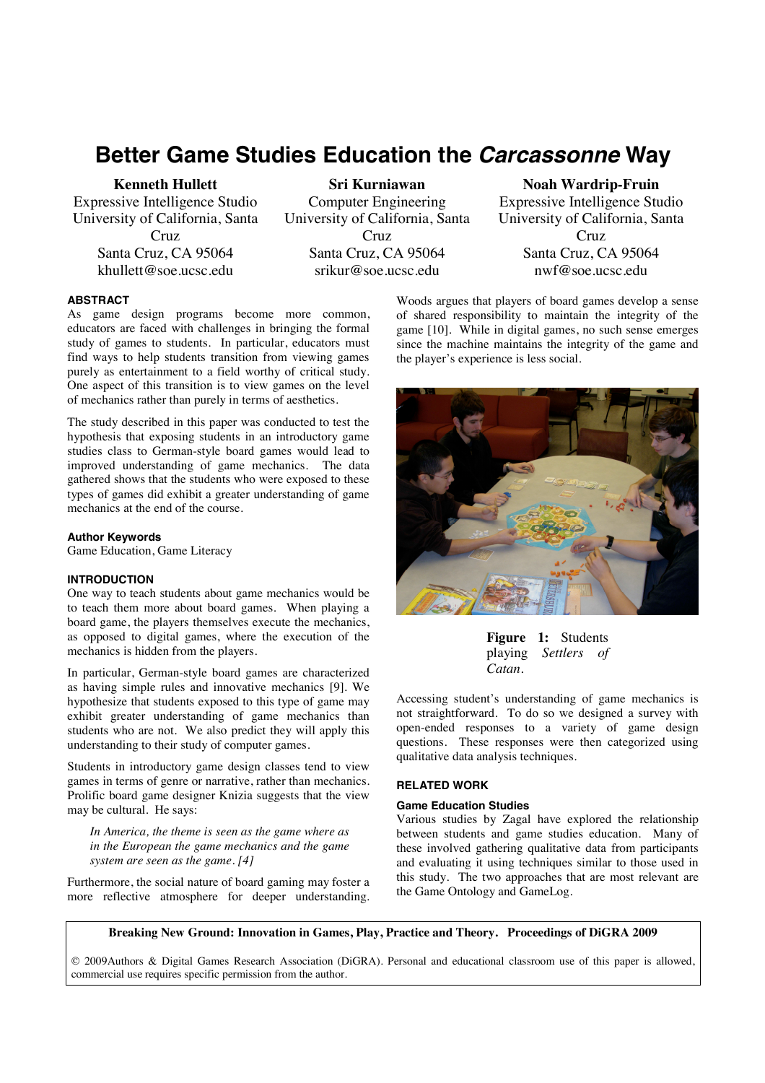# **Better Game Studies Education the** *Carcassonne* **Way**

**Kenneth Hullett** 

Expressive Intelligence Studio University of California, Santa Cruz Santa Cruz, CA 95064 khullett@soe.ucsc.edu

**Sri Kurniawan**  Computer Engineering University of California, Santa Cruz Santa Cruz, CA 95064 srikur@soe.ucsc.edu

**Noah Wardrip-Fruin**  Expressive Intelligence Studio University of California, Santa Cruz Santa Cruz, CA 95064 nwf@soe.ucsc.edu

# **ABSTRACT**

As game design programs become more common, educators are faced with challenges in bringing the formal study of games to students. In particular, educators must find ways to help students transition from viewing games purely as entertainment to a field worthy of critical study. One aspect of this transition is to view games on the level of mechanics rather than purely in terms of aesthetics.

The study described in this paper was conducted to test the hypothesis that exposing students in an introductory game studies class to German-style board games would lead to improved understanding of game mechanics. The data gathered shows that the students who were exposed to these types of games did exhibit a greater understanding of game mechanics at the end of the course.

## **Author Keywords**

Game Education, Game Literacy

# **INTRODUCTION**

One way to teach students about game mechanics would be to teach them more about board games. When playing a board game, the players themselves execute the mechanics, as opposed to digital games, where the execution of the mechanics is hidden from the players.

In particular, German-style board games are characterized as having simple rules and innovative mechanics [9]. We hypothesize that students exposed to this type of game may exhibit greater understanding of game mechanics than students who are not. We also predict they will apply this understanding to their study of computer games.

Students in introductory game design classes tend to view games in terms of genre or narrative, rather than mechanics. Prolific board game designer Knizia suggests that the view may be cultural. He says:

*In America, the theme is seen as the game where as in the European the game mechanics and the game system are seen as the game. [4]* 

Furthermore, the social nature of board gaming may foster a more reflective atmosphere for deeper understanding.

Woods argues that players of board games develop a sense of shared responsibility to maintain the integrity of the game [10]. While in digital games, no such sense emerges since the machine maintains the integrity of the game and the player's experience is less social.



**Figure 1:** Students playing *Settlers of Catan*.

Accessing student's understanding of game mechanics is not straightforward. To do so we designed a survey with open-ended responses to a variety of game design questions. These responses were then categorized using qualitative data analysis techniques.

# **RELATED WORK**

# **Game Education Studies**

Various studies by Zagal have explored the relationship between students and game studies education. Many of these involved gathering qualitative data from participants and evaluating it using techniques similar to those used in this study. The two approaches that are most relevant are the Game Ontology and GameLog.

**Breaking New Ground: Innovation in Games, Play, Practice and Theory. Proceedings of DiGRA 2009**

© 2009Authors & Digital Games Research Association (DiGRA). Personal and educational classroom use of this paper is allowed, commercial use requires specific permission from the author.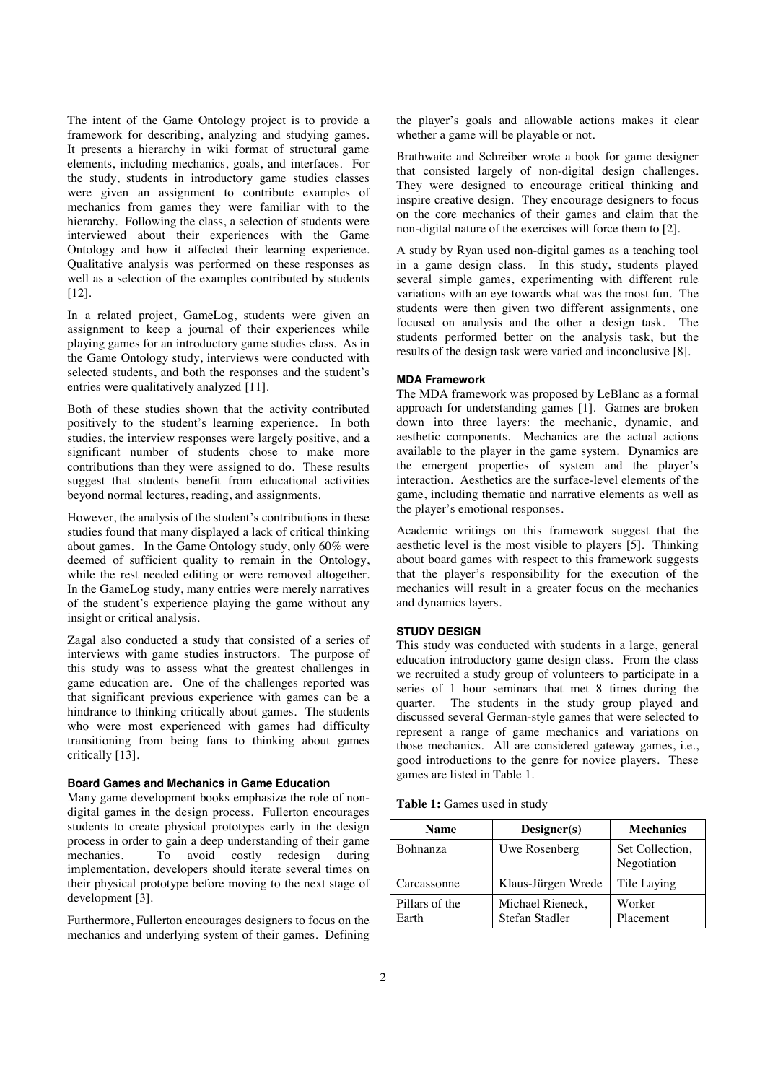The intent of the Game Ontology project is to provide a framework for describing, analyzing and studying games. It presents a hierarchy in wiki format of structural game elements, including mechanics, goals, and interfaces. For the study, students in introductory game studies classes were given an assignment to contribute examples of mechanics from games they were familiar with to the hierarchy. Following the class, a selection of students were interviewed about their experiences with the Game Ontology and how it affected their learning experience. Qualitative analysis was performed on these responses as well as a selection of the examples contributed by students [12].

In a related project, GameLog, students were given an assignment to keep a journal of their experiences while playing games for an introductory game studies class. As in the Game Ontology study, interviews were conducted with selected students, and both the responses and the student's entries were qualitatively analyzed [11].

Both of these studies shown that the activity contributed positively to the student's learning experience. In both studies, the interview responses were largely positive, and a significant number of students chose to make more contributions than they were assigned to do. These results suggest that students benefit from educational activities beyond normal lectures, reading, and assignments.

However, the analysis of the student's contributions in these studies found that many displayed a lack of critical thinking about games. In the Game Ontology study, only 60% were deemed of sufficient quality to remain in the Ontology, while the rest needed editing or were removed altogether. In the GameLog study, many entries were merely narratives of the student's experience playing the game without any insight or critical analysis.

Zagal also conducted a study that consisted of a series of interviews with game studies instructors. The purpose of this study was to assess what the greatest challenges in game education are. One of the challenges reported was that significant previous experience with games can be a hindrance to thinking critically about games. The students who were most experienced with games had difficulty transitioning from being fans to thinking about games critically [13].

# **Board Games and Mechanics in Game Education**

Many game development books emphasize the role of nondigital games in the design process. Fullerton encourages students to create physical prototypes early in the design process in order to gain a deep understanding of their game mechanics. To avoid costly redesign during implementation, developers should iterate several times on their physical prototype before moving to the next stage of development [3].

Furthermore, Fullerton encourages designers to focus on the mechanics and underlying system of their games. Defining

the player's goals and allowable actions makes it clear whether a game will be playable or not.

Brathwaite and Schreiber wrote a book for game designer that consisted largely of non-digital design challenges. They were designed to encourage critical thinking and inspire creative design. They encourage designers to focus on the core mechanics of their games and claim that the non-digital nature of the exercises will force them to [2].

A study by Ryan used non-digital games as a teaching tool in a game design class. In this study, students played several simple games, experimenting with different rule variations with an eye towards what was the most fun. The students were then given two different assignments, one focused on analysis and the other a design task. The students performed better on the analysis task, but the results of the design task were varied and inconclusive [8].

## **MDA Framework**

The MDA framework was proposed by LeBlanc as a formal approach for understanding games [1]. Games are broken down into three layers: the mechanic, dynamic, and aesthetic components. Mechanics are the actual actions available to the player in the game system. Dynamics are the emergent properties of system and the player's interaction. Aesthetics are the surface-level elements of the game, including thematic and narrative elements as well as the player's emotional responses.

Academic writings on this framework suggest that the aesthetic level is the most visible to players [5]. Thinking about board games with respect to this framework suggests that the player's responsibility for the execution of the mechanics will result in a greater focus on the mechanics and dynamics layers.

#### **STUDY DESIGN**

This study was conducted with students in a large, general education introductory game design class. From the class we recruited a study group of volunteers to participate in a series of 1 hour seminars that met 8 times during the quarter. The students in the study group played and discussed several German-style games that were selected to represent a range of game mechanics and variations on those mechanics. All are considered gateway games, i.e., good introductions to the genre for novice players. These games are listed in Table 1.

| <b>Table 1:</b> Games used in study |  |
|-------------------------------------|--|
|-------------------------------------|--|

| <b>Name</b>             | Designer(s)                        | <b>Mechanics</b>               |
|-------------------------|------------------------------------|--------------------------------|
| <b>Bohnanza</b>         | Uwe Rosenberg                      | Set Collection.<br>Negotiation |
| Carcassonne             | Klaus-Jürgen Wrede                 | Tile Laying                    |
| Pillars of the<br>Earth | Michael Rieneck,<br>Stefan Stadler | Worker<br>Placement            |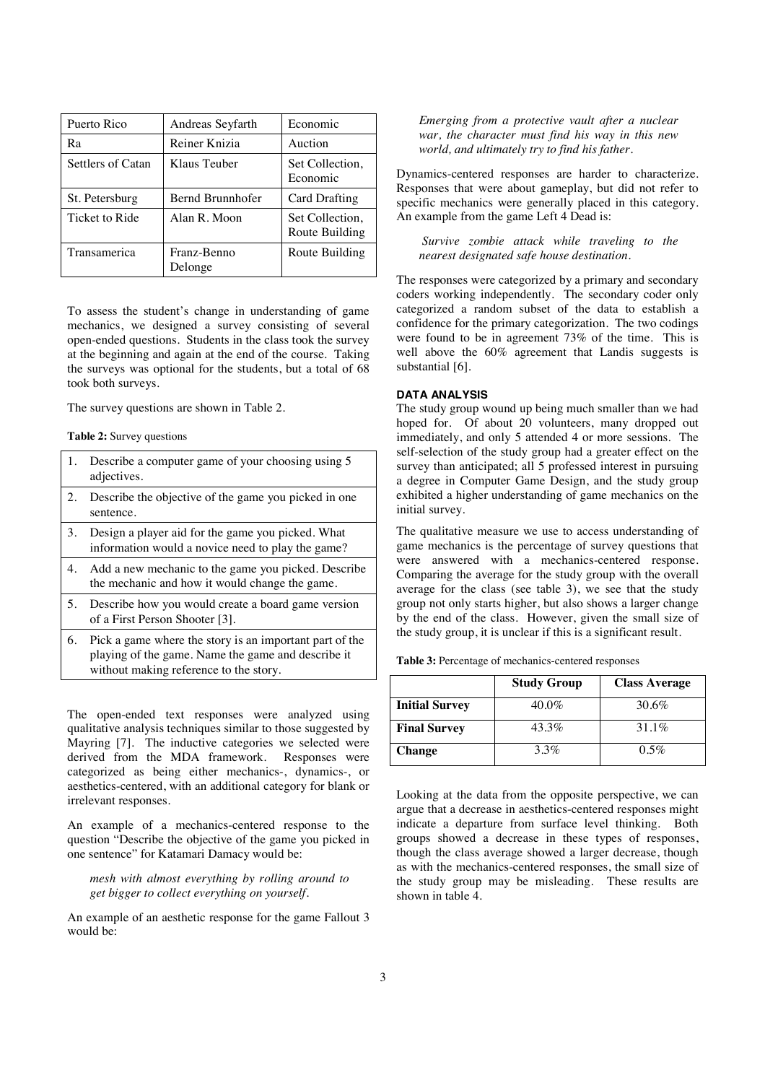| Puerto Rico       | Andreas Seyfarth       | Economic                          |
|-------------------|------------------------|-----------------------------------|
| Ra                | Reiner Knizia          | Auction                           |
| Settlers of Catan | Klaus Teuber           | Set Collection,<br>Economic       |
| St. Petersburg    | Bernd Brunnhofer       | Card Drafting                     |
| Ticket to Ride    | Alan R. Moon           | Set Collection,<br>Route Building |
| Transamerica      | Franz-Benno<br>Delonge | Route Building                    |

To assess the student's change in understanding of game mechanics, we designed a survey consisting of several open-ended questions. Students in the class took the survey at the beginning and again at the end of the course. Taking the surveys was optional for the students, but a total of 68 took both surveys.

The survey questions are shown in Table 2.

#### **Table 2:** Survey questions

| 1. | Describe a computer game of your choosing using 5<br>adjectives.                                                                                        |
|----|---------------------------------------------------------------------------------------------------------------------------------------------------------|
| 2. | Describe the objective of the game you picked in one.<br>sentence.                                                                                      |
| 3. | Design a player aid for the game you picked. What<br>information would a novice need to play the game?                                                  |
| 4. | Add a new mechanic to the game you picked. Describe<br>the mechanic and how it would change the game.                                                   |
| 5. | Describe how you would create a board game version<br>of a First Person Shooter [3].                                                                    |
| 6. | Pick a game where the story is an important part of the<br>playing of the game. Name the game and describe it<br>without making reference to the story. |

The open-ended text responses were analyzed using qualitative analysis techniques similar to those suggested by Mayring [7]. The inductive categories we selected were derived from the MDA framework. Responses were categorized as being either mechanics-, dynamics-, or aesthetics-centered, with an additional category for blank or irrelevant responses.

An example of a mechanics-centered response to the question "Describe the objective of the game you picked in one sentence" for Katamari Damacy would be:

*mesh with almost everything by rolling around to get bigger to collect everything on yourself.* 

An example of an aesthetic response for the game Fallout 3 would be:

*Emerging from a protective vault after a nuclear war, the character must find his way in this new world, and ultimately try to find his father.* 

Dynamics-centered responses are harder to characterize. Responses that were about gameplay, but did not refer to specific mechanics were generally placed in this category. An example from the game Left 4 Dead is:

 *Survive zombie attack while traveling to the nearest designated safe house destination.* 

The responses were categorized by a primary and secondary coders working independently. The secondary coder only categorized a random subset of the data to establish a confidence for the primary categorization. The two codings were found to be in agreement 73% of the time. This is well above the 60% agreement that Landis suggests is substantial [6].

## **DATA ANALYSIS**

The study group wound up being much smaller than we had hoped for. Of about 20 volunteers, many dropped out immediately, and only 5 attended 4 or more sessions. The self-selection of the study group had a greater effect on the survey than anticipated; all 5 professed interest in pursuing a degree in Computer Game Design, and the study group exhibited a higher understanding of game mechanics on the initial survey.

The qualitative measure we use to access understanding of game mechanics is the percentage of survey questions that were answered with a mechanics-centered response. Comparing the average for the study group with the overall average for the class (see table 3), we see that the study group not only starts higher, but also shows a larger change by the end of the class. However, given the small size of the study group, it is unclear if this is a significant result.

**Table 3:** Percentage of mechanics-centered responses

|                       | <b>Study Group</b> | <b>Class Average</b> |
|-----------------------|--------------------|----------------------|
| <b>Initial Survey</b> | $40.0\%$           | 30.6%                |
| <b>Final Survey</b>   | 43.3%              | $31.1\%$             |
| <b>Change</b>         | $3.3\%$            | $0.5\%$              |

Looking at the data from the opposite perspective, we can argue that a decrease in aesthetics-centered responses might indicate a departure from surface level thinking. Both groups showed a decrease in these types of responses, though the class average showed a larger decrease, though as with the mechanics-centered responses, the small size of the study group may be misleading. These results are shown in table 4.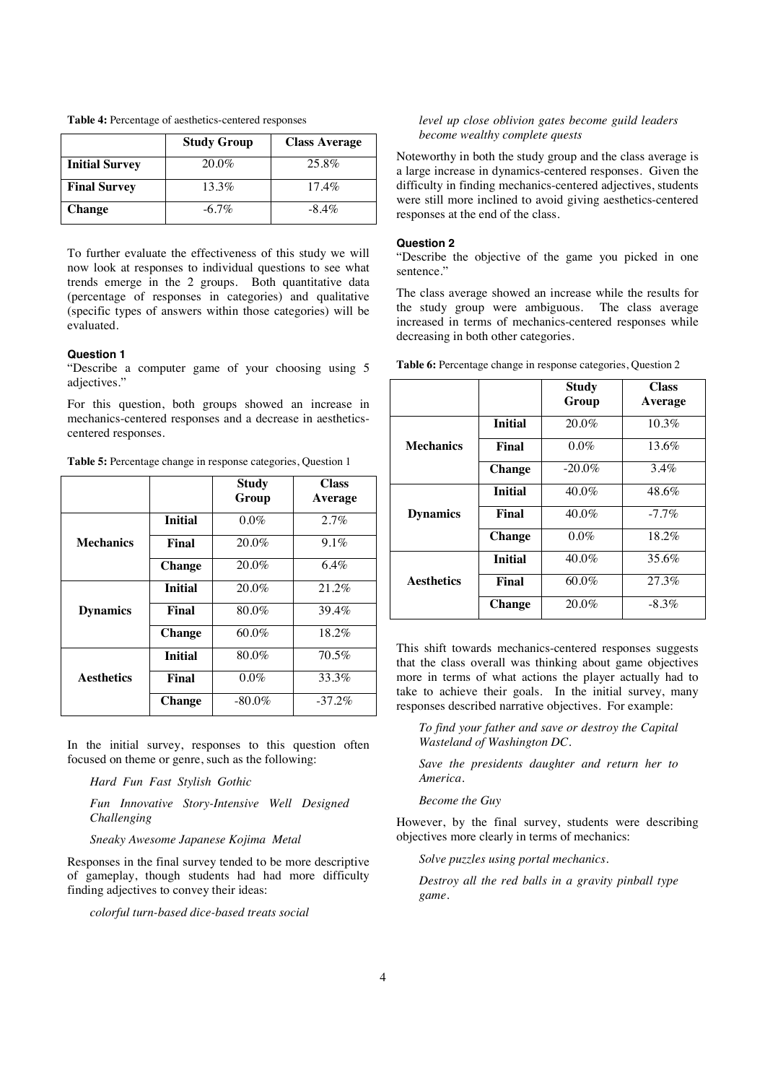**Table 4:** Percentage of aesthetics-centered responses

|                       | <b>Study Group</b> | <b>Class Average</b> |
|-----------------------|--------------------|----------------------|
| <b>Initial Survey</b> | $20.0\%$           | 25.8%                |
| <b>Final Survey</b>   | 13.3%              | $17.4\%$             |
| Change                | $-6.7\%$           | $-8.4\%$             |

To further evaluate the effectiveness of this study we will now look at responses to individual questions to see what trends emerge in the 2 groups. Both quantitative data (percentage of responses in categories) and qualitative (specific types of answers within those categories) will be evaluated.

## **Question 1**

"Describe a computer game of your choosing using 5 adjectives.'

For this question, both groups showed an increase in mechanics-centered responses and a decrease in aestheticscentered responses.

**Table 5:** Percentage change in response categories, Question 1

|                   |                | <b>Study</b><br>Group | <b>Class</b><br>Average |
|-------------------|----------------|-----------------------|-------------------------|
|                   | <b>Initial</b> | 0.0%                  | 2.7%                    |
| <b>Mechanics</b>  | Final          | $20.0\%$              | 9.1%                    |
|                   | <b>Change</b>  | $20.0\%$              | 6.4%                    |
|                   | <b>Initial</b> | $20.0\%$              | 21.2%                   |
| <b>Dynamics</b>   | Final          | $80.0\%$              | 39.4%                   |
|                   | <b>Change</b>  | $60.0\%$              | 18.2%                   |
|                   | <b>Initial</b> | 80.0%                 | 70.5%                   |
| <b>Aesthetics</b> | Final          | $0.0\%$               | 33.3%                   |
|                   | <b>Change</b>  | $-80.0\%$             | $-37.2%$                |

In the initial survey, responses to this question often focused on theme or genre, such as the following:

*Hard Fun Fast Stylish Gothic* 

*Fun Innovative Story-Intensive Well Designed Challenging* 

*Sneaky Awesome Japanese Kojima Metal* 

Responses in the final survey tended to be more descriptive of gameplay, though students had had more difficulty finding adjectives to convey their ideas:

*colorful turn-based dice-based treats social* 

## *level up close oblivion gates become guild leaders become wealthy complete quests*

Noteworthy in both the study group and the class average is a large increase in dynamics-centered responses. Given the difficulty in finding mechanics-centered adjectives, students were still more inclined to avoid giving aesthetics-centered responses at the end of the class.

#### **Question 2**

"Describe the objective of the game you picked in one sentence."

The class average showed an increase while the results for the study group were ambiguous. The class average increased in terms of mechanics-centered responses while decreasing in both other categories.

|                   |                | <b>Study</b><br>Group | <b>Class</b><br>Average |
|-------------------|----------------|-----------------------|-------------------------|
|                   | <b>Initial</b> | 20.0%                 | 10.3%                   |
| <b>Mechanics</b>  | Final          | $0.0\%$               | 13.6%                   |
|                   | Change         | $-20.0\%$             | 3.4%                    |
|                   | <b>Initial</b> | $40.0\%$              | 48.6%                   |
| <b>Dynamics</b>   | Final          | $40.0\%$              | $-7.7\%$                |
|                   | <b>Change</b>  | $0.0\%$               | 18.2%                   |
|                   | <b>Initial</b> | $40.0\%$              | 35.6%                   |
| <b>Aesthetics</b> | Final          | $60.0\%$              | 27.3%                   |
|                   | <b>Change</b>  | $20.0\%$              | $-8.3\%$                |

**Table 6:** Percentage change in response categories, Question 2

This shift towards mechanics-centered responses suggests that the class overall was thinking about game objectives more in terms of what actions the player actually had to take to achieve their goals. In the initial survey, many responses described narrative objectives. For example:

*To find your father and save or destroy the Capital Wasteland of Washington DC.* 

*Save the presidents daughter and return her to America.* 

*Become the Guy* 

However, by the final survey, students were describing objectives more clearly in terms of mechanics:

*Solve puzzles using portal mechanics.* 

*Destroy all the red balls in a gravity pinball type game.*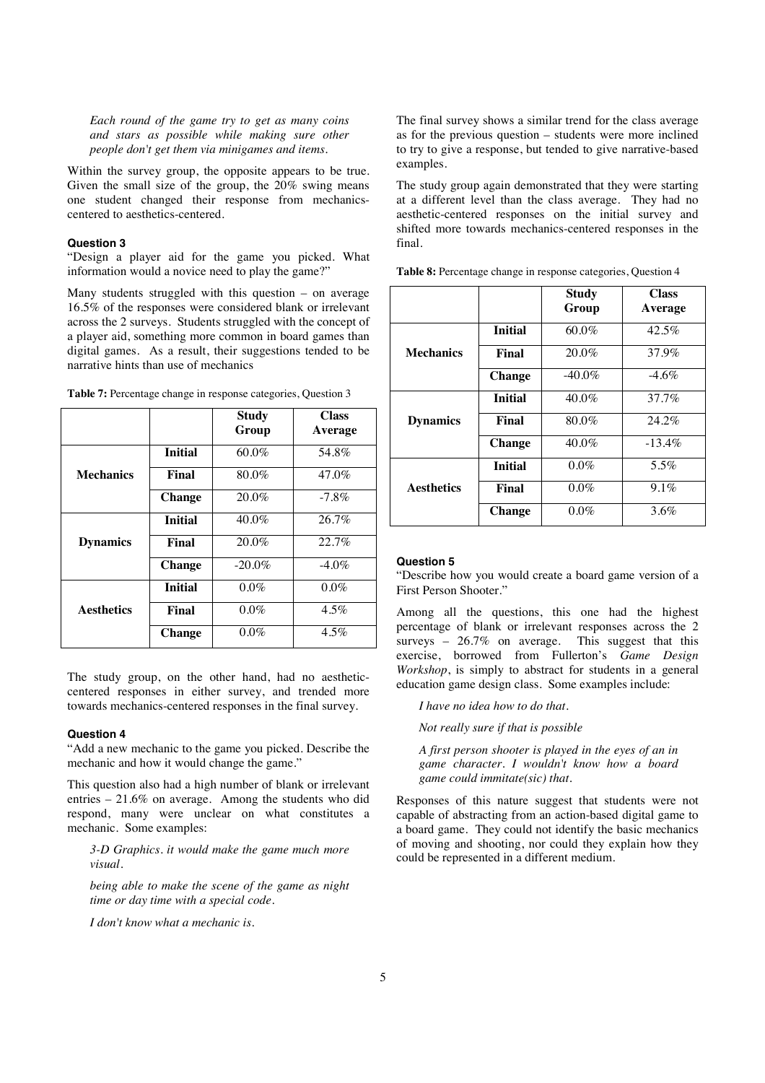*Each round of the game try to get as many coins and stars as possible while making sure other people don't get them via minigames and items.* 

Within the survey group, the opposite appears to be true. Given the small size of the group, the 20% swing means one student changed their response from mechanicscentered to aesthetics-centered.

#### **Question 3**

"Design a player aid for the game you picked. What information would a novice need to play the game?"

Many students struggled with this question – on average 16.5% of the responses were considered blank or irrelevant across the 2 surveys. Students struggled with the concept of a player aid, something more common in board games than digital games. As a result, their suggestions tended to be narrative hints than use of mechanics

|                   |                | <b>Study</b><br>Group | <b>Class</b><br>Average |
|-------------------|----------------|-----------------------|-------------------------|
|                   | <b>Initial</b> | 60.0%                 | 54.8%                   |
| <b>Mechanics</b>  | Final          | 80.0%                 | 47.0%                   |
|                   | <b>Change</b>  | 20.0%                 | $-7.8\%$                |
|                   | <b>Initial</b> | $40.0\%$              | 26.7%                   |
| <b>Dynamics</b>   | Final          | 20.0%                 | 22.7%                   |
|                   | <b>Change</b>  | $-20.0\%$             | $-4.0\%$                |
|                   | <b>Initial</b> | $0.0\%$               | $0.0\%$                 |
| <b>Aesthetics</b> | Final          | $0.0\%$               | $4.5\%$                 |

**Table 7:** Percentage change in response categories, Question 3

The study group, on the other hand, had no aestheticcentered responses in either survey, and trended more towards mechanics-centered responses in the final survey.

**Change**  $0.0\%$  4.5%

## **Question 4**

"Add a new mechanic to the game you picked. Describe the mechanic and how it would change the game."

This question also had a high number of blank or irrelevant entries – 21.6% on average. Among the students who did respond, many were unclear on what constitutes a mechanic. Some examples:

*3-D Graphics. it would make the game much more visual.* 

*being able to make the scene of the game as night time or day time with a special code.* 

*I don't know what a mechanic is.* 

The final survey shows a similar trend for the class average as for the previous question – students were more inclined to try to give a response, but tended to give narrative-based examples.

The study group again demonstrated that they were starting at a different level than the class average. They had no aesthetic-centered responses on the initial survey and shifted more towards mechanics-centered responses in the final.

|                   |                | <b>Study</b><br>Group | Class<br>Average |
|-------------------|----------------|-----------------------|------------------|
|                   | <b>Initial</b> | 60.0%                 | 42.5%            |
| <b>Mechanics</b>  | Final          | $20.0\%$              | 37.9%            |
|                   | <b>Change</b>  | $-40.0\%$             | $-4.6\%$         |
|                   | <b>Initial</b> | $40.0\%$              | $37.7\%$         |
| <b>Dynamics</b>   | Final          | 80.0%                 | 24.2%            |
|                   | <b>Change</b>  | $40.0\%$              | $-13.4%$         |
|                   | <b>Initial</b> | $0.0\%$               | 5.5%             |
| <b>Aesthetics</b> | Final          | $0.0\%$               | $9.1\%$          |
|                   | <b>Change</b>  | $0.0\%$               | 3.6%             |

**Table 8:** Percentage change in response categories, Question 4

#### **Question 5**

"Describe how you would create a board game version of a First Person Shooter."

Among all the questions, this one had the highest percentage of blank or irrelevant responses across the 2 surveys – 26.7% on average. This suggest that this exercise, borrowed from Fullerton's *Game Design Workshop*, is simply to abstract for students in a general education game design class. Some examples include:

*I have no idea how to do that.* 

*Not really sure if that is possible* 

*A first person shooter is played in the eyes of an in game character. I wouldn't know how a board game could immitate(sic) that.* 

Responses of this nature suggest that students were not capable of abstracting from an action-based digital game to a board game. They could not identify the basic mechanics of moving and shooting, nor could they explain how they could be represented in a different medium.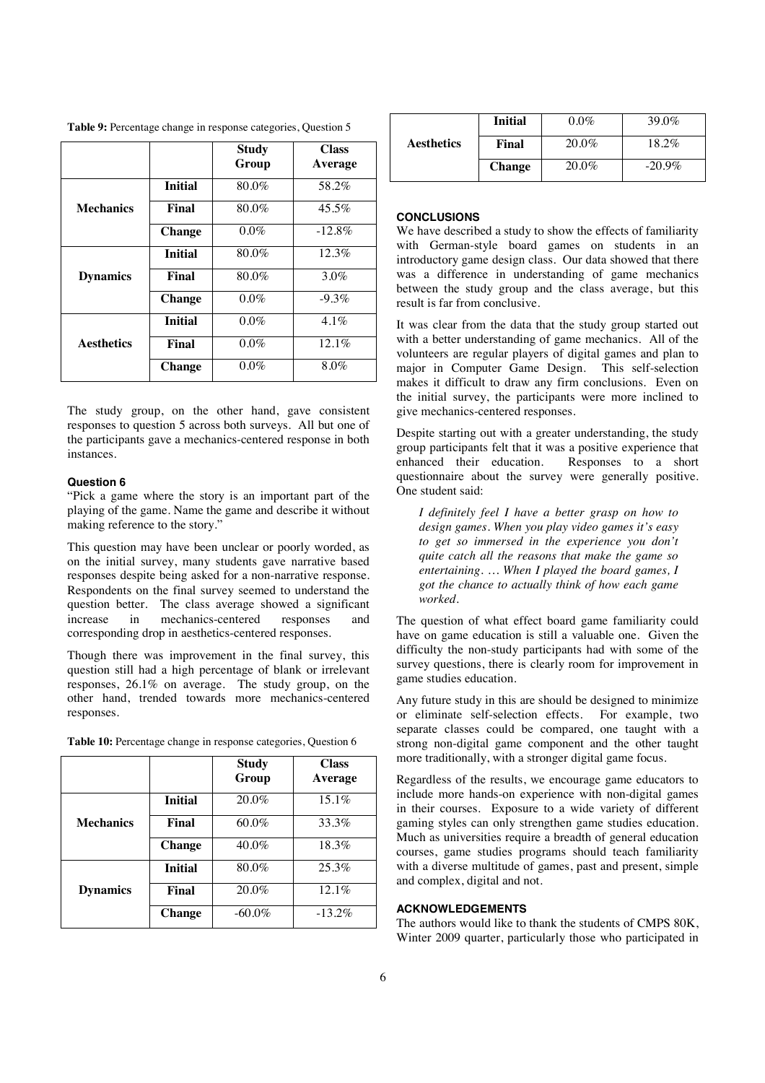**Table 9:** Percentage change in response categories, Question 5

|                   |                | <b>Study</b><br>Group | <b>Class</b><br>Average |
|-------------------|----------------|-----------------------|-------------------------|
|                   | <b>Initial</b> | $80.0\%$              | 58.2%                   |
| <b>Mechanics</b>  | Final          | 80.0%                 | $45.5\%$                |
|                   | <b>Change</b>  | $0.0\%$               | $-12.8\%$               |
|                   | <b>Initial</b> | 80.0%                 | 12.3%                   |
| <b>Dynamics</b>   | Final          | 80.0%                 | 3.0%                    |
|                   | <b>Change</b>  | $0.0\%$               | $-9.3\%$                |
|                   | <b>Initial</b> | $0.0\%$               | $4.1\%$                 |
| <b>Aesthetics</b> | Final          | $0.0\%$               | $12.1\%$                |
|                   | <b>Change</b>  | $0.0\%$               | 8.0%                    |

The study group, on the other hand, gave consistent responses to question 5 across both surveys. All but one of the participants gave a mechanics-centered response in both instances.

## **Question 6**

"Pick a game where the story is an important part of the playing of the game. Name the game and describe it without making reference to the story."

This question may have been unclear or poorly worded, as on the initial survey, many students gave narrative based responses despite being asked for a non-narrative response. Respondents on the final survey seemed to understand the question better. The class average showed a significant increase in mechanics-centered responses and corresponding drop in aesthetics-centered responses.

Though there was improvement in the final survey, this question still had a high percentage of blank or irrelevant responses, 26.1% on average. The study group, on the other hand, trended towards more mechanics-centered responses.

|                  |                | <b>Study</b><br>Group | <b>Class</b><br>Average |
|------------------|----------------|-----------------------|-------------------------|
|                  | <b>Initial</b> | $20.0\%$              | $15.1\%$                |
| <b>Mechanics</b> | Final          | $60.0\%$              | 33.3%                   |
|                  | <b>Change</b>  | 40.0%                 | 18.3%                   |
|                  | <b>Initial</b> | $80.0\%$              | 25.3%                   |
| <b>Dynamics</b>  | Final          | $20.0\%$              | 12.1%                   |
|                  | <b>Change</b>  | $-60.0\%$             | $-13.2\%$               |

|  |  |  |  |  | Table 10: Percentage change in response categories, Question 6 |  |  |
|--|--|--|--|--|----------------------------------------------------------------|--|--|
|--|--|--|--|--|----------------------------------------------------------------|--|--|

|                   | <b>Initial</b> | $0.0\%$ | 39.0%     |
|-------------------|----------------|---------|-----------|
| <b>Aesthetics</b> | Final          | 20.0%   | $18.2\%$  |
|                   | <b>Change</b>  | 20.0%   | $-20.9\%$ |

# **CONCLUSIONS**

We have described a study to show the effects of familiarity with German-style board games on students in an introductory game design class. Our data showed that there was a difference in understanding of game mechanics between the study group and the class average, but this result is far from conclusive.

It was clear from the data that the study group started out with a better understanding of game mechanics. All of the volunteers are regular players of digital games and plan to major in Computer Game Design. This self-selection makes it difficult to draw any firm conclusions. Even on the initial survey, the participants were more inclined to give mechanics-centered responses.

Despite starting out with a greater understanding, the study group participants felt that it was a positive experience that enhanced their education. Responses to a short questionnaire about the survey were generally positive. One student said:

*I definitely feel I have a better grasp on how to design games. When you play video games it's easy to get so immersed in the experience you don't quite catch all the reasons that make the game so entertaining. … When I played the board games, I got the chance to actually think of how each game worked.* 

The question of what effect board game familiarity could have on game education is still a valuable one. Given the difficulty the non-study participants had with some of the survey questions, there is clearly room for improvement in game studies education.

Any future study in this are should be designed to minimize or eliminate self-selection effects. For example, two separate classes could be compared, one taught with a strong non-digital game component and the other taught more traditionally, with a stronger digital game focus.

Regardless of the results, we encourage game educators to include more hands-on experience with non-digital games in their courses. Exposure to a wide variety of different gaming styles can only strengthen game studies education. Much as universities require a breadth of general education courses, game studies programs should teach familiarity with a diverse multitude of games, past and present, simple and complex, digital and not.

# **ACKNOWLEDGEMENTS**

The authors would like to thank the students of CMPS 80K, Winter 2009 quarter, particularly those who participated in